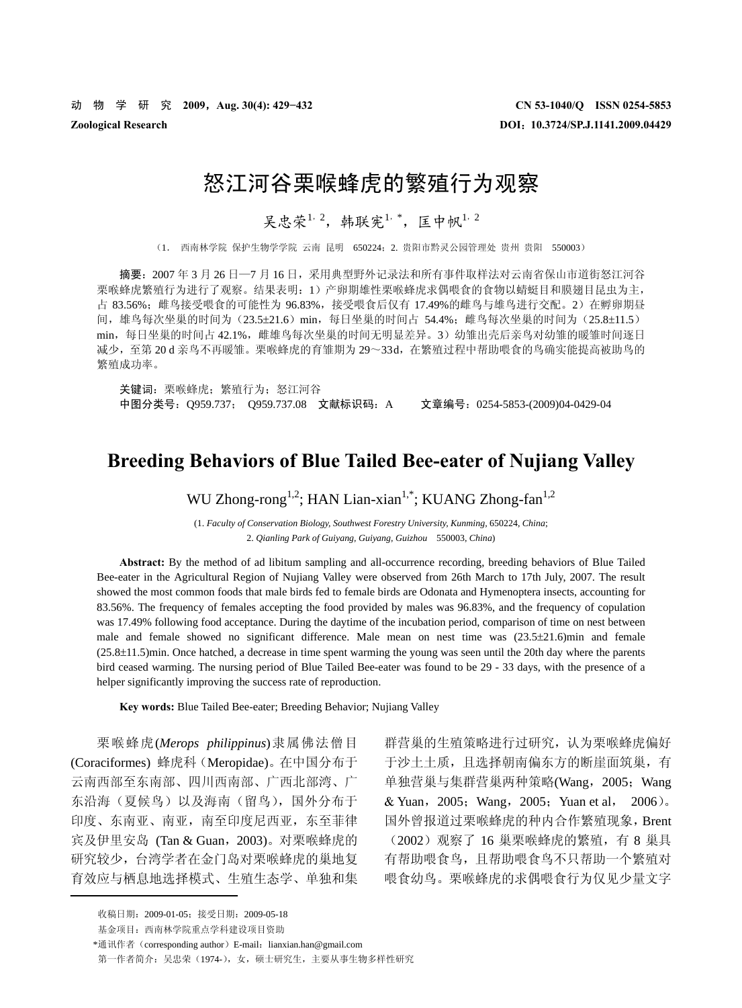# 怒江河谷栗喉蜂虎的繁殖行为观察

吴忠荣<sup>1, 2</sup>, 韩联宪1,\*, 匡中帆1, 2

(1. 西南林学院 保护生物学学院 云南 昆明 650224;2. 贵阳市黔灵公园管理处 贵州 贵阳 550003)

摘要:2007 年 3 月 26 日—7 月 16 日,采用典型野外记录法和所有事件取样法对云南省保山市道街怒江河谷 栗喉蜂虎繁殖行为进行了观察。结果表明:1)产卵期雄性栗喉蜂虎求偶喂食的食物以蜻蜓目和膜翅目昆虫为主, 占 83.56%;雌鸟接受喂食的可能性为 96.83%,接受喂食后仅有 17.49%的雌鸟与雄鸟进行交配。2)在孵卵期昼 间, 雄鸟每次坐巢的时间为(23.5±21.6) min, 每日坐巢的时间占 54.4%; 雌鸟每次坐巢的时间为 (25.8±11.5) min,每日坐巢的时间占 42.1%, 雌雄鸟每次坐巢的时间无明显差异。3)幼雏出壳后亲鸟对幼雏的暖雏时间逐日 减少,至第 20 d 亲鸟不再暖雏。栗喉蜂虎的育雏期为 29~33d,在繁殖过程中帮助喂食的鸟确实能提高被助鸟的 繁殖成功率。

关键词:栗喉蜂虎;繁殖行为;怒江河谷 中图分类号:Q959.737; Q959.737.08 文献标识码:A 文章编号:0254-5853-(2009)04-0429-04

# **Breeding Behaviors of Blue Tailed Bee-eater of Nujiang Valley**

WU Zhong-rong<sup>1,2</sup>; HAN Lian-xian<sup>1,\*</sup>; KUANG Zhong-fan<sup>1,2</sup>

(1. *Faculty of Conservation Biology, Southwest Forestry University, Kunming,* 650224, *China*; 2. *Qianling Park of Guiyang, Guiyang, Guizhou* 550003, *China*)

**Abstract:** By the method of ad libitum sampling and all-occurrence recording, breeding behaviors of Blue Tailed Bee-eater in the Agricultural Region of Nujiang Valley were observed from 26th March to 17th July, 2007. The result showed the most common foods that male birds fed to female birds are Odonata and Hymenoptera insects, accounting for 83.56%. The frequency of females accepting the food provided by males was 96.83%, and the frequency of copulation was 17.49% following food acceptance. During the daytime of the incubation period, comparison of time on nest between male and female showed no significant difference. Male mean on nest time was (23.5±21.6)min and female (25.8±11.5)min. Once hatched, a decrease in time spent warming the young was seen until the 20th day where the parents bird ceased warming. The nursing period of Blue Tailed Bee-eater was found to be 29 - 33 days, with the presence of a helper significantly improving the success rate of reproduction.

**Key words:** Blue Tailed Bee-eater; Breeding Behavior; Nujiang Valley

栗喉蜂虎(*Merops philippinus*)隶属佛法僧目 (Coraciformes) 蜂虎科(Meropidae)。在中国分布于 云南西部至东南部、四川西南部、广西北部湾、广 东沿海(夏候鸟)以及海南(留鸟), 国外分布于 印度、东南亚、南亚,南至印度尼西亚,东至菲律 宾及伊里安岛 (Tan & Guan,2003)。对栗喉蜂虎的 研究较少,台湾学者在金门岛对栗喉蜂虎的巢地复 育效应与栖息地选择模式、生殖生态学、单独和集

群营巢的生殖策略进行过研究,认为栗喉蜂虎偏好 于沙土土质,且选择朝南偏东方的断崖面筑巢,有 单独营巢与集群营巢两种策略(Wang,2005;Wang & Yuan,2005;Wang,2005;Yuan et al, 2006)。 国外曾报道过栗喉蜂虎的种内合作繁殖现象,Brent (2002)观察了 16 巢栗喉蜂虎的繁殖,有 8 巢具 有帮助喂食鸟,且帮助喂食鸟不只帮助一个繁殖对 喂食幼鸟。栗喉蜂虎的求偶喂食行为仅见少量文字

<sup>\*</sup>通讯作者 (corresponding author) E-mail: lianxian.han@gmail.com 第一作者简介: 吴忠荣(1974-),女,硕士研究生,主要从事生物多样性研究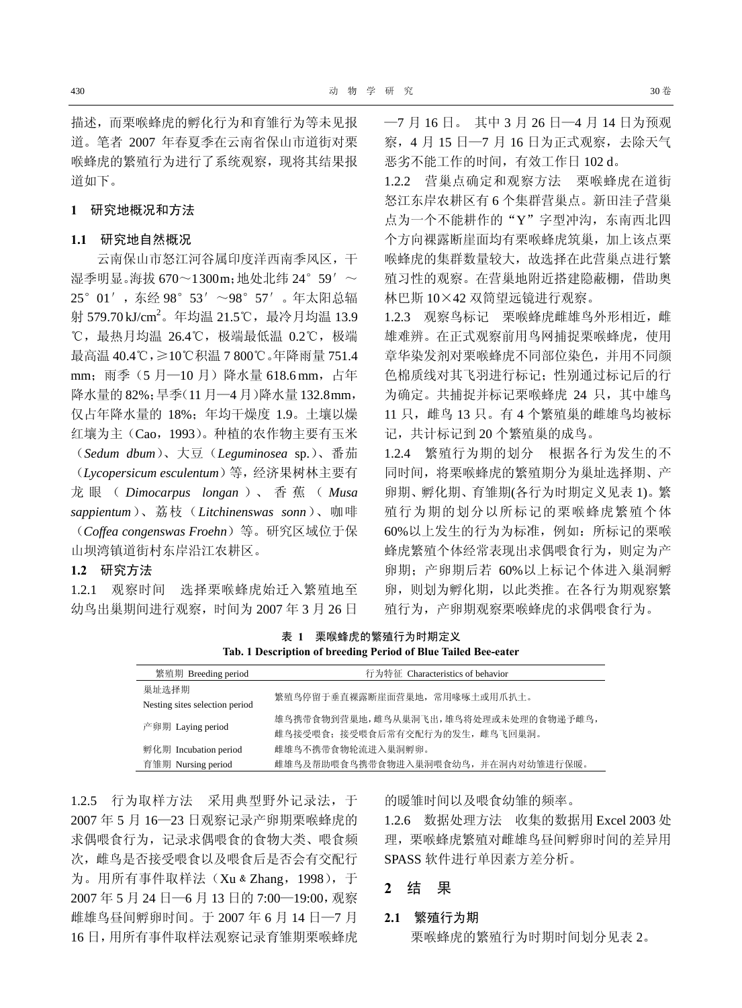描述,而栗喉蜂虎的孵化行为和育雏行为等未见报 道。笔者 2007 年春夏季在云南省保山市道街对栗 喉蜂虎的繁殖行为进行了系统观察,现将其结果报 道如下。

#### **1** 研究地概况和方法

# **1.1** 研究地自然概况

云南保山市怒江河谷属印度洋西南季风区,干 湿季明显。海拔 670~1300m;地处北纬 24°59′~ 25°01′,东经 98°53′~98°57′。年太阳总辐 射 579.70㎏/cm<sup>2</sup>。年均温 21.5℃,最冷月均温 13.9 ℃,最热月均温 26.4℃,极端最低温 0.2℃,极端 最高温 40.4℃,≥10℃积温 7 800℃。年降雨量 751.4 mm; 雨季(5月-10月)降水量 618.6 mm, 占年 降水量的 82%;旱季(11 月—4 月)降水量 132.8mm, 仅占年降水量的 18%;年均干燥度 1.9。土壤以燥 红壤为主(Cao,1993)。种植的农作物主要有玉米 (*Sedum dbum*)、大豆(*Leguminosea* sp.)、番茄 (*Lycopersicum esculentum*)等,经济果树林主要有 龙眼( *Dimocarpus longan* )、 香 蕉 ( *Musa sappientum*)、荔枝(*Litchinenswas sonn*)、咖啡 (*Coffea congenswas Froehn*)等。研究区域位于保 山坝湾镇道街村东岸沿江农耕区。

### **1.2** 研究方法

1.2.1 观察时间 选择栗喉蜂虎始迁入繁殖地至 幼鸟出巢期间进行观察,时间为 2007 年 3 月 26 日 —7 月 16 日。 其中 3 月 26 日—4 月 14 日为预观 察,4 月 15 日—7 月 16 日为正式观察,去除天气 恶劣不能工作的时间,有效工作日 102 d。

1.2.2 营巢点确定和观察方法 栗喉蜂虎在道街 怒江东岸农耕区有 6 个集群营巢点。新田洼子营巢 点为一个不能耕作的"Y"字型冲沟,东南西北四 个方向裸露断崖面均有栗喉蜂虎筑巢,加上该点栗 喉蜂虎的集群数量较大,故选择在此营巢点进行繁 殖习性的观察。在营巢地附近搭建隐蔽棚,借助奥 林巴斯 10×42 双筒望远镜进行观察。

1.2.3 观察鸟标记 栗喉蜂虎雌雄鸟外形相近, 雌 雄难辨。在正式观察前用鸟网捕捉栗喉蜂虎,使用 章华染发剂对栗喉蜂虎不同部位染色,并用不同颜 色棉质线对其飞羽进行标记;性别通过标记后的行 为确定。共捕捉并标记栗喉蜂虎 24 只, 其中雄鸟 11 只,雌鸟 13 只。有 4 个繁殖巢的雌雄鸟均被标 记,共计标记到 20 个繁殖巢的成鸟。

1.2.4 繁殖行为期的划分 根据各行为发生的不 同时间,将栗喉蜂虎的繁殖期分为巢址选择期、产 卵期、孵化期、育雏期(各行为时期定义见表 1)。繁 殖行为期的划分以所标记的栗喉蜂虎繁殖个体 60%以上发生的行为为标准,例如:所标记的栗喉 蜂虎繁殖个体经常表现出求偶喂食行为,则定为产 卵期;产卵期后若 60%以上标记个体进入巢洞孵 卵,则划为孵化期,以此类推。在各行为期观察繁 殖行为,产卵期观察栗喉蜂虎的求偶喂食行为。

表 **1** 栗喉蜂虎的繁殖行为时期定义 **Tab. 1 Description of breeding Period of Blue Tailed Bee-eater** 

| 繁殖期 Breeding period            | 行为特征 Characteristics of behavior       |  |  |  |
|--------------------------------|----------------------------------------|--|--|--|
| 巢址选择期                          | 繁殖鸟停留于垂直裸露断崖面营巢地, 常用喙啄土或用爪扒土。          |  |  |  |
| Nesting sites selection period |                                        |  |  |  |
| 产卵期 Laying period              | 雄鸟携带食物到营巢地, 雌鸟从巢洞飞出, 雄鸟将处理或未处理的食物递予雌鸟, |  |  |  |
|                                | 雌鸟接受喂食; 接受喂食后常有交配行为的发生, 雌鸟飞回巢洞。        |  |  |  |
| 孵化期 Incubation period          | 雌雄鸟不携带食物轮流讲入巢洞孵卵。                      |  |  |  |
| 育雏期 Nursing period             | 雌雄鸟及帮助喂食鸟携带食物进入巢洞喂食幼鸟,并在洞内对幼雏进行保暖。     |  |  |  |

1.2.5 行为取样方法 采用典型野外记录法,于 2007 年 5 月 16—23 日观察记录产卵期栗喉蜂虎的 求偶喂食行为, 记录求偶喂食的食物大类、喂食频 次,雌鸟是否接受喂食以及喂食后是否会有交配行 为。用所有事件取样法(Xu & Zhang, 1998), 于 2007 年 5 月 24 日—6 月 13 日的 7:00—19:00,观察 雌雄鸟昼间孵卵时间。于 2007 年 6 月 14 日—7 月 16 日,用所有事件取样法观察记录育雏期栗喉蜂虎 的暖雏时间以及喂食幼雏的频率。

1.2.6 数据处理方法 收集的数据用 Excel 2003 处 理,栗喉蜂虎繁殖对雌雄鸟昼间孵卵时间的差异用 SPASS 软件进行单因素方差分析。

# **2** 结 果

#### **2.1** 繁殖行为期

栗喉蜂虎的繁殖行为时期时间划分见表 2。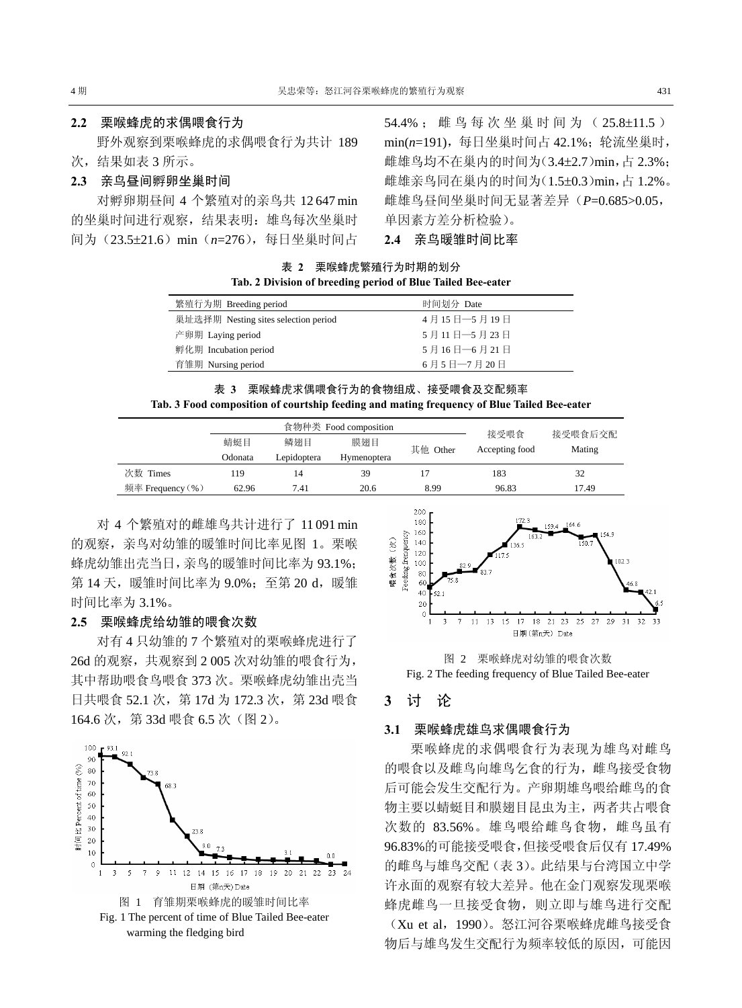# **2.2** 栗喉蜂虎的求偶喂食行为

野外观察到栗喉蜂虎的求偶喂食行为共计 189 次,结果如表 3 所示。

# **2.3** 亲鸟昼间孵卵坐巢时间

对孵卵期昼间 4 个繁殖对的亲鸟共 12 647 min 的坐巢时间进行观察,结果表明: 雄鸟每次坐巢时 间为(23.5±21.6)min(*n*=276),每日坐巢时间占 54.4% ; 雌 鸟每次坐巢时间为( 25.8±11.5 ) min(*n*=191),每日坐巢时间占 42.1%;轮流坐巢时, 雌雄鸟均不在巢内的时间为(3.4±2.7)min,占 2.3%; 雌雄亲鸟同在巢内的时间为(1.5±0.3)min,占 1.2%。 雌雄鸟昼间坐巢时间无显著差异(*P*=0.685>0.05, 单因素方差分析检验)。

**2.4** 亲鸟暖雏时间比率

表 **2** 栗喉蜂虎繁殖行为时期的划分 **Tab. 2 Division of breeding period of Blue Tailed Bee-eater** 

| 繁殖行为期 Breeding period                | 时间划分 Date      |
|--------------------------------------|----------------|
| 巢址选择期 Nesting sites selection period | 4月15日 -- 5月19日 |
| 产卵期 Laying period                    | 5月11日 -- 5月23日 |
| 孵化期 Incubation period                | 5月16日 - 6月21日  |
| 育雏期 Nursing period                   | 6月5日 - 7月20日   |
|                                      |                |

|                                                                                            | 表 3 栗喉蜂虎求偶喂食行为的食物组成、接受喂食及交配频率 |  |  |  |  |  |
|--------------------------------------------------------------------------------------------|-------------------------------|--|--|--|--|--|
| Tab. 3 Food composition of courtship feeding and mating frequency of Blue Tailed Bee-eater |                               |  |  |  |  |  |

|                  | 食物种类 Food composition |             |             |          | 接受喂食           |                   |
|------------------|-----------------------|-------------|-------------|----------|----------------|-------------------|
|                  | 蜻蜓目                   | 鳞翅目         | 膜翅目         | 其他 Other | Accepting food | 接受喂食后交配<br>Mating |
|                  | Odonata               | Lepidoptera | Hymenoptera |          |                |                   |
| 次数 Times         | 119                   | 14          | 39          |          | 183            | 32                |
| 频率 Frequency (%) | 62.96                 | 7.41        | 20.6        | 8.99     | 96.83          | 17.49             |

对 4 个繁殖对的雌雄鸟共计进行了 11 091 min 的观察,亲鸟对幼雏的暖雏时间比率见图 1。栗喉 蜂虎幼雏出壳当日,亲鸟的暖雏时间比率为 93.1%; 第 14 天, 暖雏时间比率为 9.0%; 至第 20 d, 暖雏 时间比率为 3.1%。

#### **2.5** 栗喉蜂虎给幼雏的喂食次数

对有 4 只幼雏的 7 个繁殖对的栗喉蜂虎进行了 26d 的观察,共观察到 2 005 次对幼雏的喂食行为, 其中帮助喂食鸟喂食 373 次。栗喉蜂虎幼雏出壳当 日共喂食 52.1 次, 第 17d 为 172.3 次, 第 23d 喂食 164.6 次, 第 33d 喂食 6.5 次 (图 2)。





图 2 栗喉蜂虎对幼雏的喂食次数 Fig. 2 The feeding frequency of Blue Tailed Bee-eater

# **3** 讨 论

### **3.1** 栗喉蜂虎雄鸟求偶喂食行为

栗喉蜂虎的求偶喂食行为表现为雄鸟对雌鸟 的喂食以及雌鸟向雄鸟乞食的行为,雌鸟接受食物 后可能会发生交配行为。产卵期雄鸟喂给雌鸟的食 物主要以蜻蜓目和膜翅目昆虫为主,两者共占喂食 次数的 83.56%。雄鸟喂给雌鸟食物, 雌鸟虽有 96.83%的可能接受喂食,但接受喂食后仅有 17.49% 的雌鸟与雄鸟交配(表 3)。此结果与台湾国立中学 许永面的观察有较大差异。他在金门观察发现栗喉 蜂虎雌鸟一旦接受食物,则立即与雄鸟进行交配 (Xu et al,1990)。怒江河谷栗喉蜂虎雌鸟接受食 物后与雄鸟发生交配行为频率较低的原因,可能因